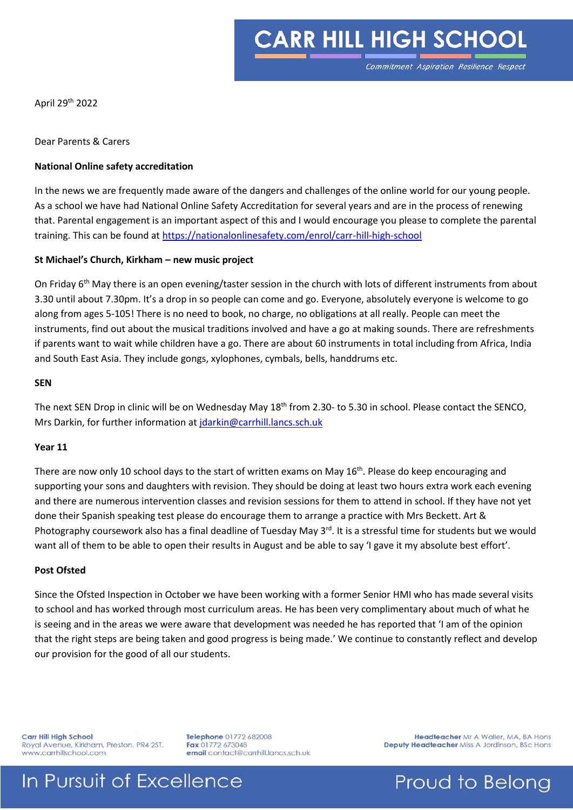# **CARR HILL HIGH SCHOOL**

April 29th 2022

Dear Parents & Carers

#### **National Online safety accreditation**

In the news we are frequently made aware of the dangers and challenges of the online world for our young people. As a school we have had National Online Safety Accreditation for several years and are in the process of renewing that. Parental engagement is an important aspect of this and I would encourage you please to complete the parental training. This can be found a[t https://nationalonlinesafety.com/enrol/carr-hill-high-school](https://nationalonlinesafety.com/enrol/carr-hill-high-school)

#### **St Michael's Church, Kirkham – new music project**

On Friday 6<sup>th</sup> May there is an open evening/taster session in the church with lots of different instruments from about 3.30 until about 7.30pm. It's a drop in so people can come and go. Everyone, absolutely everyone is welcome to go along from ages 5-105! There is no need to book, no charge, no obligations at all really. People can meet the instruments, find out about the musical traditions involved and have a go at making sounds. There are refreshments if parents want to wait while children have a go. There are about 60 instruments in total including from Africa, India and South East Asia. They include gongs, xylophones, cymbals, bells, handdrums etc.

#### **SEN**

The next SEN Drop in clinic will be on Wednesday May 18<sup>th</sup> from 2.30- to 5.30 in school. Please contact the SENCO, Mrs Darkin, for further information at [jdarkin@carrhill.lancs.sch.uk](mailto:jdarkin@carrhill.lancs.sch.uk)

#### **Year 11**

There are now only 10 school days to the start of written exams on May 16<sup>th</sup>. Please do keep encouraging and supporting your sons and daughters with revision. They should be doing at least two hours extra work each evening and there are numerous intervention classes and revision sessions for them to attend in school. If they have not yet done their Spanish speaking test please do encourage them to arrange a practice with Mrs Beckett. Art & Photography coursework also has a final deadline of Tuesday May 3rd. It is a stressful time for students but we would want all of them to be able to open their results in August and be able to say 'I gave it my absolute best effort'.

#### **Post Ofsted**

Since the Ofsted Inspection in October we have been working with a former Senior HMI who has made several visits to school and has worked through most curriculum areas. He has been very complimentary about much of what he is seeing and in the areas we were aware that development was needed he has reported that 'I am of the opinion that the right steps are being taken and good progress is being made.' We continue to constantly reflect and develop our provision for the good of all our students.

Carr Hill High School Royal Avenue, Kirkham, Preston. PR4 2ST. www.carrhillschool.com

In Pursuit of Excellence

Telephone 01772 682008 Fax 01772 673048 email contact@carrhill.lancs.sch.uk

Headteacher Mr A Waller, MA, BA Hons Deputy Headteacher Miss A Jordinson, BSc Hons

### Proud to Belong